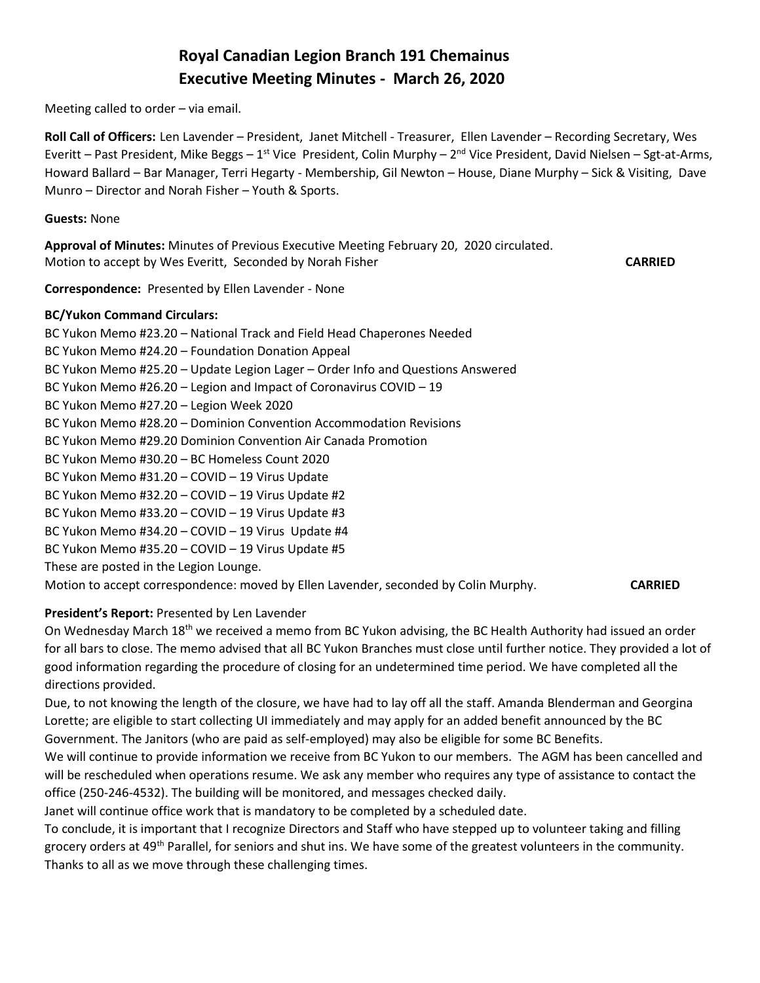# **Royal Canadian Legion Branch 191 Chemainus Executive Meeting Minutes - March 26, 2020**

Meeting called to order – via email.

**Roll Call of Officers:** Len Lavender – President, Janet Mitchell - Treasurer, Ellen Lavender – Recording Secretary, Wes Everitt – Past President, Mike Beggs – 1<sup>st</sup> Vice President, Colin Murphy – 2<sup>nd</sup> Vice President, David Nielsen – Sgt-at-Arms, Howard Ballard – Bar Manager, Terri Hegarty - Membership, Gil Newton – House, Diane Murphy – Sick & Visiting, Dave Munro – Director and Norah Fisher – Youth & Sports.

**Guests:** None

**Approval of Minutes:** Minutes of Previous Executive Meeting February 20, 2020 circulated. Motion to accept by Wes Everitt, Seconded by Norah Fisher **CARRIED**

**Correspondence:** Presented by Ellen Lavender - None

# **BC/Yukon Command Circulars:**

BC Yukon Memo #23.20 – National Track and Field Head Chaperones Needed BC Yukon Memo #24.20 – Foundation Donation Appeal BC Yukon Memo #25.20 – Update Legion Lager – Order Info and Questions Answered BC Yukon Memo #26.20 – Legion and Impact of Coronavirus COVID – 19 BC Yukon Memo #27.20 – Legion Week 2020 BC Yukon Memo #28.20 – Dominion Convention Accommodation Revisions BC Yukon Memo #29.20 Dominion Convention Air Canada Promotion BC Yukon Memo #30.20 – BC Homeless Count 2020 BC Yukon Memo #31.20 – COVID – 19 Virus Update BC Yukon Memo #32.20 – COVID – 19 Virus Update #2 BC Yukon Memo #33.20 – COVID – 19 Virus Update #3 BC Yukon Memo #34.20 – COVID – 19 Virus Update #4 BC Yukon Memo #35.20 – COVID – 19 Virus Update #5 These are posted in the Legion Lounge.

Motion to accept correspondence: moved by Ellen Lavender, seconded by Colin Murphy. **CARRIED**

# **President's Report:** Presented by Len Lavender

On Wednesday March 18th we received a memo from BC Yukon advising, the BC Health Authority had issued an order for all bars to close. The memo advised that all BC Yukon Branches must close until further notice. They provided a lot of good information regarding the procedure of closing for an undetermined time period. We have completed all the directions provided.

Due, to not knowing the length of the closure, we have had to lay off all the staff. Amanda Blenderman and Georgina Lorette; are eligible to start collecting UI immediately and may apply for an added benefit announced by the BC Government. The Janitors (who are paid as self-employed) may also be eligible for some BC Benefits.

We will continue to provide information we receive from BC Yukon to our members. The AGM has been cancelled and will be rescheduled when operations resume. We ask any member who requires any type of assistance to contact the office (250-246-4532). The building will be monitored, and messages checked daily.

Janet will continue office work that is mandatory to be completed by a scheduled date.

To conclude, it is important that I recognize Directors and Staff who have stepped up to volunteer taking and filling grocery orders at 49<sup>th</sup> Parallel, for seniors and shut ins. We have some of the greatest volunteers in the community. Thanks to all as we move through these challenging times.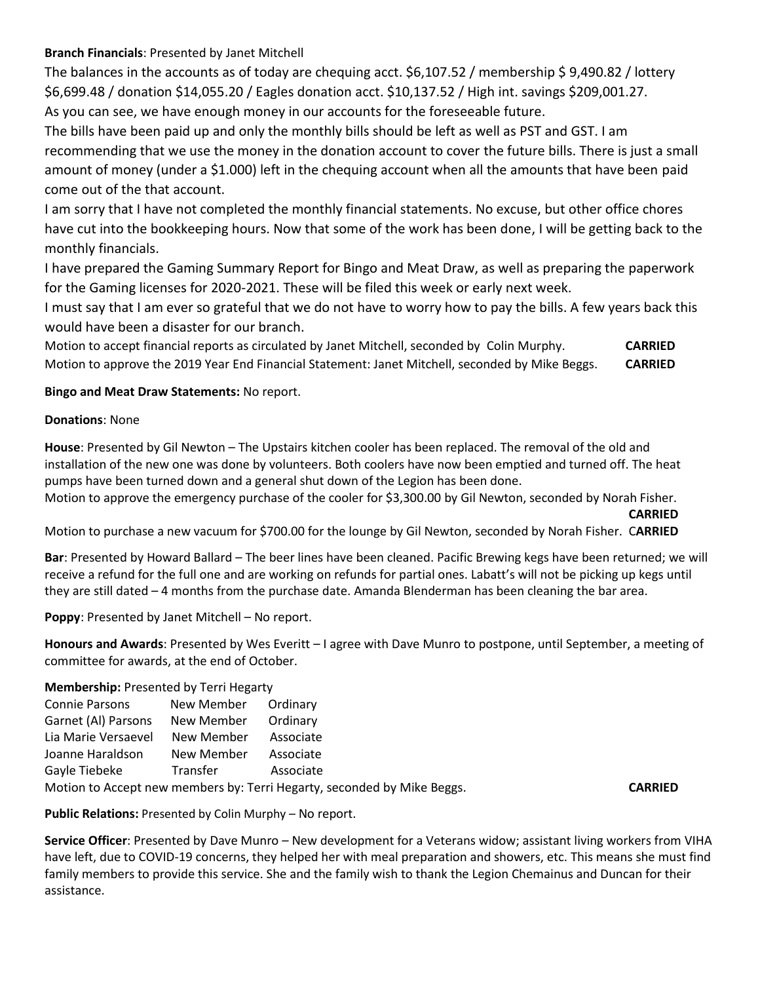# **Branch Financials**: Presented by Janet Mitchell

The balances in the accounts as of today are chequing acct. \$6,107.52 / membership \$ 9,490.82 / lottery \$6,699.48 / donation \$14,055.20 / Eagles donation acct. \$10,137.52 / High int. savings \$209,001.27. As you can see, we have enough money in our accounts for the foreseeable future.

The bills have been paid up and only the monthly bills should be left as well as PST and GST. I am recommending that we use the money in the donation account to cover the future bills. There is just a small amount of money (under a \$1.000) left in the chequing account when all the amounts that have been paid come out of the that account.

I am sorry that I have not completed the monthly financial statements. No excuse, but other office chores have cut into the bookkeeping hours. Now that some of the work has been done, I will be getting back to the monthly financials.

I have prepared the Gaming Summary Report for Bingo and Meat Draw, as well as preparing the paperwork for the Gaming licenses for 2020-2021. These will be filed this week or early next week.

I must say that I am ever so grateful that we do not have to worry how to pay the bills. A few years back this would have been a disaster for our branch.

Motion to accept financial reports as circulated by Janet Mitchell, seconded by Colin Murphy. **CARRIED** Motion to approve the 2019 Year End Financial Statement: Janet Mitchell, seconded by Mike Beggs. **CARRIED**

# **Bingo and Meat Draw Statements:** No report.

# **Donations**: None

**House**: Presented by Gil Newton – The Upstairs kitchen cooler has been replaced. The removal of the old and installation of the new one was done by volunteers. Both coolers have now been emptied and turned off. The heat pumps have been turned down and a general shut down of the Legion has been done.

Motion to approve the emergency purchase of the cooler for \$3,300.00 by Gil Newton, seconded by Norah Fisher. **CARRIED** 

Motion to purchase a new vacuum for \$700.00 for the lounge by Gil Newton, seconded by Norah Fisher. C**ARRIED**

**Bar**: Presented by Howard Ballard – The beer lines have been cleaned. Pacific Brewing kegs have been returned; we will receive a refund for the full one and are working on refunds for partial ones. Labatt's will not be picking up kegs until they are still dated – 4 months from the purchase date. Amanda Blenderman has been cleaning the bar area.

**Poppy**: Presented by Janet Mitchell – No report.

**Honours and Awards**: Presented by Wes Everitt – I agree with Dave Munro to postpone, until September, a meeting of committee for awards, at the end of October.

# **Membership:** Presented by Terri Hegarty

| <b>Connie Parsons</b>                                      | New Member | Ordinary  |
|------------------------------------------------------------|------------|-----------|
| Garnet (Al) Parsons                                        | New Member | Ordinary  |
| Lia Marie Versaevel                                        | New Member | Associate |
| Joanne Haraldson                                           | New Member | Associate |
| Gayle Tiebeke                                              | Transfer   | Associate |
| Matica to Account acumpanalogue but Tomi Homesture accordo |            |           |

Motion to Accept new members by: Terri Hegarty, seconded by Mike Beggs. **CARRIED**

**Public Relations:** Presented by Colin Murphy – No report.

**Service Officer**: Presented by Dave Munro – New development for a Veterans widow; assistant living workers from VIHA have left, due to COVID-19 concerns, they helped her with meal preparation and showers, etc. This means she must find family members to provide this service. She and the family wish to thank the Legion Chemainus and Duncan for their assistance.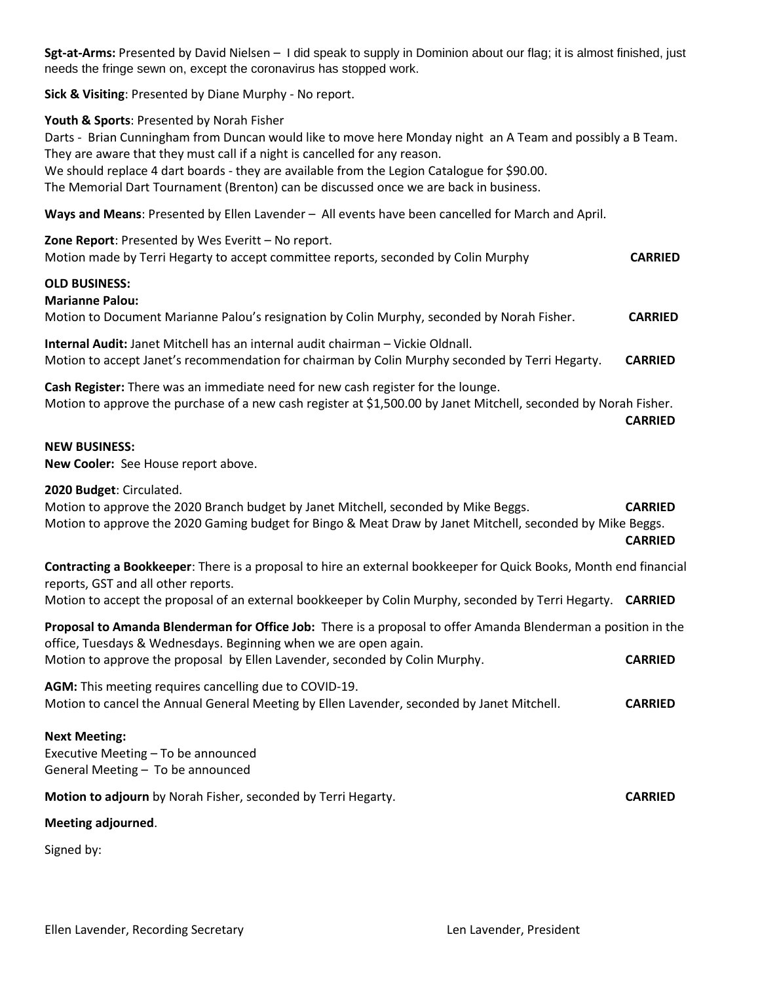**Sgt-at-Arms:** Presented by David Nielsen – I did speak to supply in Dominion about our flag; it is almost finished, just needs the fringe sewn on, except the coronavirus has stopped work.

**Sick & Visiting**: Presented by Diane Murphy - No report.

#### **Youth & Sports**: Presented by Norah Fisher

Darts - Brian Cunningham from Duncan would like to move here Monday night an A Team and possibly a B Team. They are aware that they must call if a night is cancelled for any reason.

We should replace 4 dart boards - they are available from the Legion Catalogue for \$90.00.

The Memorial Dart Tournament (Brenton) can be discussed once we are back in business.

**Ways and Means**: Presented by Ellen Lavender – All events have been cancelled for March and April.

| Zone Report: Presented by Wes Everitt - No report.                                 |                |
|------------------------------------------------------------------------------------|----------------|
| Motion made by Terri Hegarty to accept committee reports, seconded by Colin Murphy | <b>CARRIED</b> |

### **OLD BUSINESS:**

#### **Marianne Palou:**

Motion to Document Marianne Palou's resignation by Colin Murphy, seconded by Norah Fisher. **CARRIED**

**Internal Audit:** Janet Mitchell has an internal audit chairman – Vickie Oldnall. Motion to accept Janet's recommendation for chairman by Colin Murphy seconded by Terri Hegarty. **CARRIED**

**Cash Register:** There was an immediate need for new cash register for the lounge. Motion to approve the purchase of a new cash register at \$1,500.00 by Janet Mitchell, seconded by Norah Fisher.

#### **NEW BUSINESS:**

**New Cooler:** See House report above.

#### **2020 Budget**: Circulated.

Motion to approve the 2020 Branch budget by Janet Mitchell, seconded by Mike Beggs. **CARRIED**  Motion to approve the 2020 Gaming budget for Bingo & Meat Draw by Janet Mitchell, seconded by Mike Beggs. **CARRIED Contracting a Bookkeeper**: There is a proposal to hire an external bookkeeper for Quick Books, Month end financial reports, GST and all other reports. Motion to accept the proposal of an external bookkeeper by Colin Murphy, seconded by Terri Hegarty. **CARRIED**

**Proposal to Amanda Blenderman for Office Job:** There is a proposal to offer Amanda Blenderman a position in the office, Tuesdays & Wednesdays. Beginning when we are open again. Motion to approve the proposal by Ellen Lavender, seconded by Colin Murphy. **CARRIED**

**AGM:** This meeting requires cancelling due to COVID-19. Motion to cancel the Annual General Meeting by Ellen Lavender, seconded by Janet Mitchell. **CARRIED**

#### **Next Meeting:**

Executive Meeting – To be announced General Meeting – To be announced

**Motion to adjourn** by Norah Fisher, seconded by Terri Hegarty. **CARRIED CARRIED** 

**CARRIED**

#### **Meeting adjourned**.

Signed by: